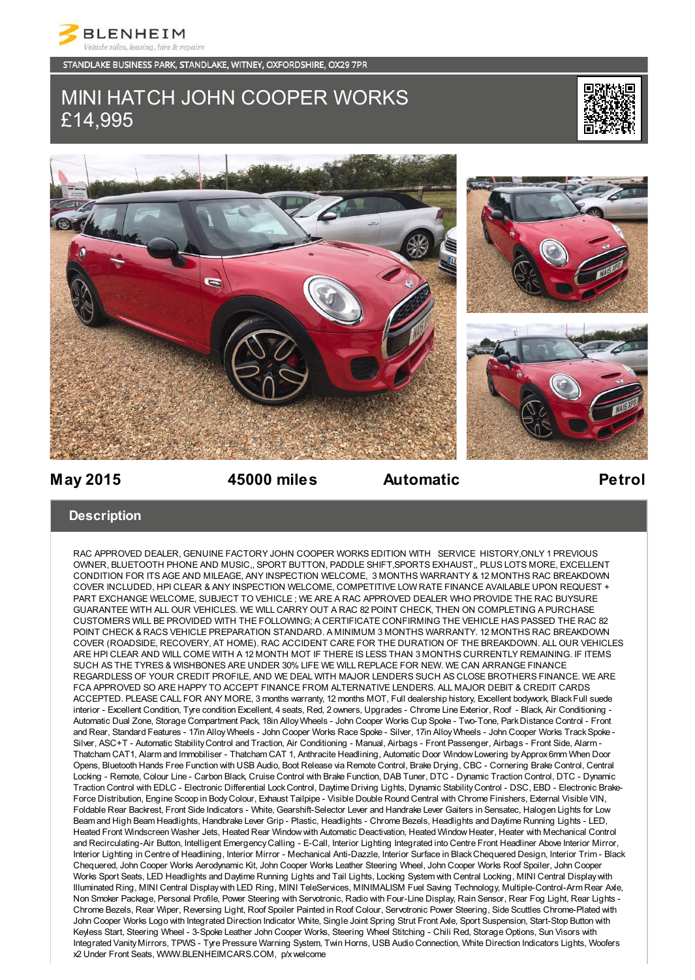

STANDLAKE BUSINESS PARK, STANDLAKE, WITNEY, OXFORDSHIRE, OX29 7PR

# MINI HATCH JOHN COOPER WORKS £14,995





## **May 2015 45000 miles Automatic Petrol**

### **Description**

RAC APPROVED DEALER, GENUINE FACTORY JOHN COOPER WORKS EDITION WITH SERVICE HISTORY,ONLY 1 PREVIOUS OWNER, BLUETOOTH PHONE AND MUSIC,, SPORT BUTTON, PADDLE SHIFT,SPORTS EXHAUST,, PLUS LOTS MORE, EXCELLENT CONDITION FOR ITS AGE AND MILEAGE, ANY INSPECTION WELCOME, 3 MONTHS WARRANTY & 12 MONTHS RAC BREAKDOWN COVER INCLUDED, HPI CLEAR & ANY INSPECTION WELCOME, COMPETITIVE LOW RATE FINANCE AVAILABLE UPON REQUEST + PART EXCHANGE WELCOME, SUBJECT TO VEHICLE ; WE ARE A RAC APPROVED DEALER WHO PROVIDE THE RAC BUYSURE GUARANTEE WITH ALL OUR VEHICLES. WE WILL CARRY OUT A RAC 82 POINT CHECK, THEN ON COMPLETING A PURCHASE CUSTOMERS WILL BE PROVIDED WITH THE FOLLOWING; A CERTIFICATE CONFIRMING THE VEHICLE HAS PASSED THE RAC 82 POINT CHECK & RACS VEHICLE PREPARATION STANDARD. A MINIMUM 3 MONTHS WARRANTY. 12 MONTHS RAC BREAKDOWN COVER (ROADSIDE, RECOVERY, AT HOME). RAC ACCIDENT CARE FOR THE DURATION OF THE BREAKDOWN. ALL OUR VEHICLES ARE HPI CLEAR AND WILL COME WITH A 12 MONTH MOT IF THERE IS LESS THAN 3 MONTHS CURRENTLY REMAINING. IF ITEMS SUCH AS THE TYRES & WISHBONES ARE UNDER 30% LIFE WE WILL REPLACE FOR NEW. WE CAN ARRANGE FINANCE REGARDLESS OF YOUR CREDIT PROFILE, AND WE DEAL WITH MAJOR LENDERS SUCH AS CLOSE BROTHERS FINANCE. WE ARE FCA APPROVED SO ARE HAPPY TO ACCEPT FINANCE FROM ALTERNATIVE LENDERS. ALL MAJOR DEBIT & CREDIT CARDS ACCEPTED. PLEASE CALL FOR ANY MORE, 3 months warranty, 12 months MOT, Full dealership history, Excellent bodywork, Black Full suede interior - Excellent Condition, Tyre condition Excellent, 4 seats, Red, 2 owners, Upgrades - Chrome Line Exterior, Roof - Black, Air Conditioning - Automatic Dual Zone, Storage Compartment Pack, 18in Alloy Wheels - John Cooper Works Cup Spoke - Two-Tone, Park Distance Control - Front and Rear, Standard Features - 17in Alloy Wheels - John Cooper Works Race Spoke - Silver, 17in Alloy Wheels - John Cooper Works Track Spoke - Silver, ASC+T - Automatic Stability Control and Traction, Air Conditioning - Manual, Airbags - Front Passenger, Airbags - Front Side, Alarm - Thatcham CAT1, Alarm and Immobiliser - Thatcham CAT 1, Anthracite Headlining, Automatic Door Window Lowering by Approx 6mm When Door Opens, Bluetooth Hands Free Function with USB Audio, Boot Release via Remote Control, Brake Drying, CBC - Cornering Brake Control, Central Locking - Remote, Colour Line - Carbon Black, Cruise Control with Brake Function, DAB Tuner, DTC - Dynamic Traction Control, DTC - Dynamic Traction Control with EDLC - Electronic Differential Lock Control, Daytime Driving Lights, Dynamic Stability Control - DSC, EBD - Electronic Brake-Force Distribution, Engine Scoop in Body Colour, Exhaust Tailpipe - Visible Double Round Central with Chrome Finishers, External Visible VIN, Foldable Rear Backrest, Front Side Indicators - White, Gearshift-Selector Lever and Handrake Lever Gaiters in Sensatec, Halogen Lights for Low Beam and High Beam Headlights, Handbrake Lever Grip - Plastic, Headlights - Chrome Bezels, Headlights and Daytime Running Lights - LED, Heated Front Windscreen Washer Jets, Heated Rear Window with Automatic Deactivation, Heated Window Heater, Heater with Mechanical Control and Recirculating-Air Button, Intelligent Emergency Calling - E-Call, Interior Lighting Integrated into Centre Front Headliner Above Interior Mirror, Interior Lighting in Centre of Headlining, Interior Mirror - Mechanical Anti-Dazzle, Interior Surface in Black Chequered Design, Interior Trim - Black Chequered, John Cooper Works Aerodynamic Kit, John Cooper Works Leather Steering Wheel, John Cooper Works Roof Spoiler, John Cooper Works Sport Seats, LED Headlights and Daytime Running Lights and Tail Lights, Locking System with Central Locking, MINI Central Display with Illuminated Ring, MINI Central Display with LED Ring, MINI TeleServices, MINIMALISM Fuel Saving Technology, Multiple-Control-Arm Rear Axle, Non Smoker Package, Personal Profile, Power Steering with Servotronic, Radio with Four-Line Display, Rain Sensor, Rear Fog Light, Rear Lights - Chrome Bezels, Rear Wiper, Reversing Light, Roof Spoiler Painted in Roof Colour, Servotronic Power Steering, Side Scuttles Chrome-Plated with John Cooper Works Logo with Integrated Direction Indicator White, Single Joint Spring Strut Front Axle, Sport Suspension, Start-Stop Button with Keyless Start, Steering Wheel - 3-Spoke Leather John Cooper Works, Steering Wheel Stitching - Chili Red, Storage Options, Sun Visors with Integrated Vanity Mirrors, TPWS - Tyre Pressure Warning System, Twin Horns, USB Audio Connection, White Direction Indicators Lights, Woofers x2 Under Front Seats, WWW.BLENHEIMCARS.COM, p/x welcome